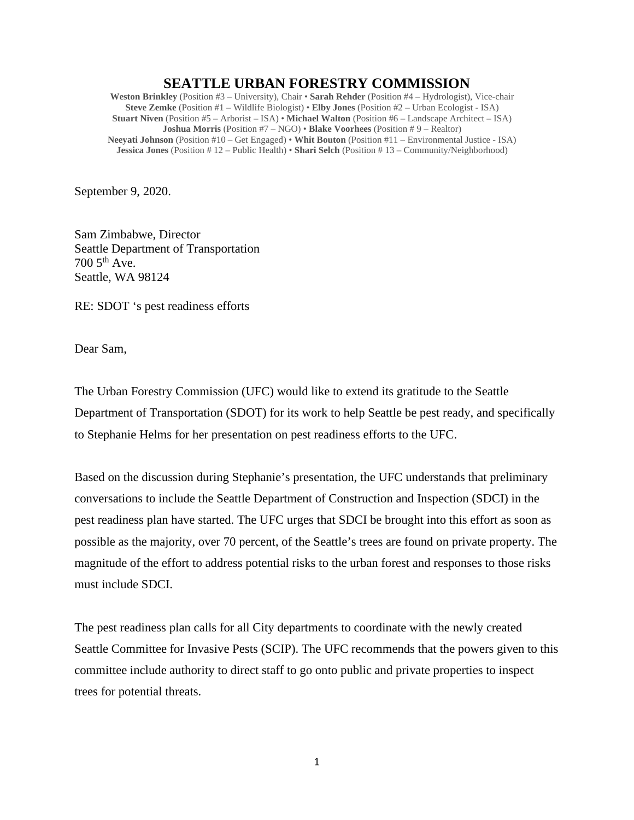## **SEATTLE URBAN FORESTRY COMMISSION**

**Weston Brinkley** (Position #3 – University), Chair • **Sarah Rehder** (Position #4 – Hydrologist), Vice-chair **Steve Zemke** (Position #1 – Wildlife Biologist) • **Elby Jones** (Position #2 – Urban Ecologist - ISA) **Stuart Niven** (Position #5 – Arborist – ISA) • **Michael Walton** (Position #6 – Landscape Architect – ISA) **Joshua Morris** (Position #7 – NGO) • **Blake Voorhees** (Position # 9 – Realtor) **Neeyati Johnson** (Position #10 – Get Engaged) • **Whit Bouton** (Position #11 – Environmental Justice - ISA) **Jessica Jones** (Position # 12 – Public Health) • **Shari Selch** (Position # 13 – Community/Neighborhood)

September 9, 2020.

Sam Zimbabwe, Director Seattle Department of Transportation 700 5th Ave. Seattle, WA 98124

RE: SDOT 's pest readiness efforts

Dear Sam,

The Urban Forestry Commission (UFC) would like to extend its gratitude to the Seattle Department of Transportation (SDOT) for its work to help Seattle be pest ready, and specifically to Stephanie Helms for her presentation on pest readiness efforts to the UFC.

Based on the discussion during Stephanie's presentation, the UFC understands that preliminary conversations to include the Seattle Department of Construction and Inspection (SDCI) in the pest readiness plan have started. The UFC urges that SDCI be brought into this effort as soon as possible as the majority, over 70 percent, of the Seattle's trees are found on private property. The magnitude of the effort to address potential risks to the urban forest and responses to those risks must include SDCI.

The pest readiness plan calls for all City departments to coordinate with the newly created Seattle Committee for Invasive Pests (SCIP). The UFC recommends that the powers given to this committee include authority to direct staff to go onto public and private properties to inspect trees for potential threats.